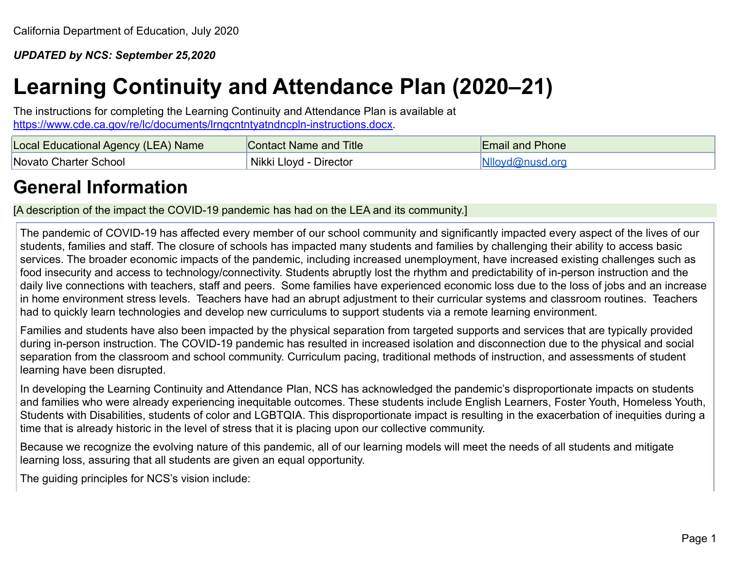*UPDATED by NCS: September 25,2020*

# **Learning Continuity and Attendance Plan (2020–21)**

The instructions for completing the Learning Continuity and Attendance Plan is available at [https://www.cde.ca.gov/re/lc/documents/lrngcntntyatndncpln-instructions.docx.](https://www.cde.ca.gov/re/lc/documents/lrngcntntyatndncpln-instructions.docx)

| Local Educational Agency (LEA) Name | Contact Name and Title | <b>Email and Phone</b> |
|-------------------------------------|------------------------|------------------------|
| <b>Novato Charter School</b>        | Nikki Lloyd - Director | Nlloyd@nusd.org        |

# **General Information**

[A description of the impact the COVID-19 pandemic has had on the LEA and its community.]

The pandemic of COVID-19 has affected every member of our school community and significantly impacted every aspect of the lives of our students, families and staff. The closure of schools has impacted many students and families by challenging their ability to access basic services. The broader economic impacts of the pandemic, including increased unemployment, have increased existing challenges such as food insecurity and access to technology/connectivity. Students abruptly lost the rhythm and predictability of in-person instruction and the daily live connections with teachers, staff and peers. Some families have experienced economic loss due to the loss of jobs and an increase in home environment stress levels. Teachers have had an abrupt adjustment to their curricular systems and classroom routines. Teachers had to quickly learn technologies and develop new curriculums to support students via a remote learning environment.

Families and students have also been impacted by the physical separation from targeted supports and services that are typically provided during in-person instruction. The COVID-19 pandemic has resulted in increased isolation and disconnection due to the physical and social separation from the classroom and school community. Curriculum pacing, traditional methods of instruction, and assessments of student learning have been disrupted.

In developing the Learning Continuity and Attendance Plan, NCS has acknowledged the pandemic's disproportionate impacts on students and families who were already experiencing inequitable outcomes. These students include English Learners, Foster Youth, Homeless Youth, Students with Disabilities, students of color and LGBTQIA. This disproportionate impact is resulting in the exacerbation of inequities during a time that is already historic in the level of stress that it is placing upon our collective community.

Because we recognize the evolving nature of this pandemic, all of our learning models will meet the needs of all students and mitigate learning loss, assuring that all students are given an equal opportunity.

The guiding principles for NCS's vision include: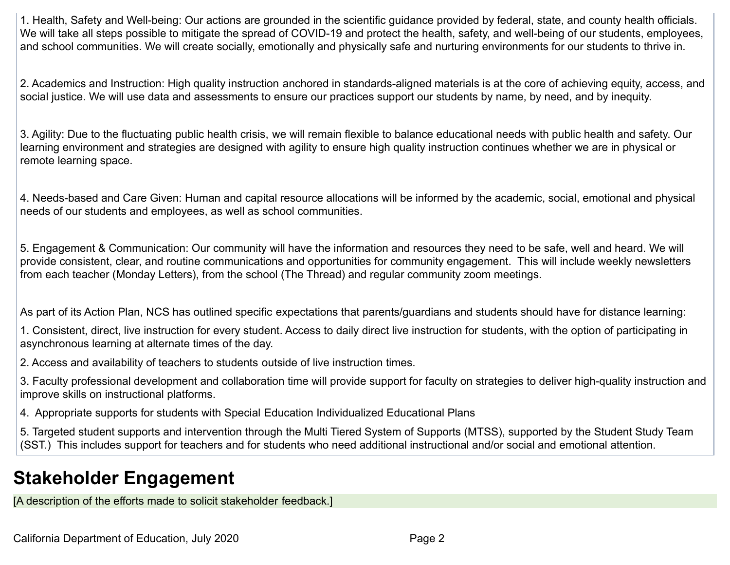1. Health, Safety and Well-being: Our actions are grounded in the scientific guidance provided by federal, state, and county health officials. We will take all steps possible to mitigate the spread of COVID-19 and protect the health, safety, and well-being of our students, employees, and school communities. We will create socially, emotionally and physically safe and nurturing environments for our students to thrive in.

2. Academics and Instruction: High quality instruction anchored in standards-aligned materials is at the core of achieving equity, access, and social justice. We will use data and assessments to ensure our practices support our students by name, by need, and by inequity.

3. Agility: Due to the fluctuating public health crisis, we will remain flexible to balance educational needs with public health and safety. Our learning environment and strategies are designed with agility to ensure high quality instruction continues whether we are in physical or remote learning space.

4. Needs-based and Care Given: Human and capital resource allocations will be informed by the academic, social, emotional and physical needs of our students and employees, as well as school communities.

5. Engagement & Communication: Our community will have the information and resources they need to be safe, well and heard. We will provide consistent, clear, and routine communications and opportunities for community engagement. This will include weekly newsletters from each teacher (Monday Letters), from the school (The Thread) and regular community zoom meetings.

As part of its Action Plan, NCS has outlined specific expectations that parents/guardians and students should have for distance learning:

1. Consistent, direct, live instruction for every student. Access to daily direct live instruction for students, with the option of participating in asynchronous learning at alternate times of the day.

2. Access and availability of teachers to students outside of live instruction times.

3. Faculty professional development and collaboration time will provide support for faculty on strategies to deliver high-quality instruction and improve skills on instructional platforms.

4. Appropriate supports for students with Special Education Individualized Educational Plans

5. Targeted student supports and intervention through the Multi Tiered System of Supports (MTSS), supported by the Student Study Team (SST.) This includes support for teachers and for students who need additional instructional and/or social and emotional attention.

# **Stakeholder Engagement**

[A description of the efforts made to solicit stakeholder feedback.]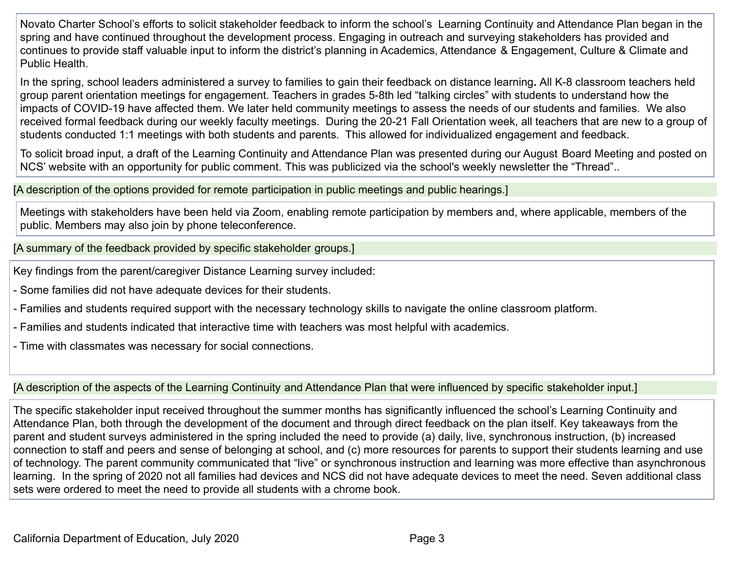Novato Charter School's efforts to solicit stakeholder feedback to inform the school's Learning Continuity and Attendance Plan began in the spring and have continued throughout the development process. Engaging in outreach and surveying stakeholders has provided and continues to provide staff valuable input to inform the district's planning in Academics, Attendance & Engagement, Culture & Climate and Public Health.

In the spring, school leaders administered a survey to families to gain their feedback on distance learning**.** All K-8 classroom teachers held group parent orientation meetings for engagement. Teachers in grades 5-8th led "talking circles" with students to understand how the impacts of COVID-19 have affected them. We later held community meetings to assess the needs of our students and families. We also received formal feedback during our weekly faculty meetings. During the 20-21 Fall Orientation week, all teachers that are new to a group of students conducted 1:1 meetings with both students and parents. This allowed for individualized engagement and feedback.

To solicit broad input, a draft of the Learning Continuity and Attendance Plan was presented during our August Board Meeting and posted on NCS' website with an opportunity for public comment. This was publicized via the school's weekly newsletter the "Thread"..

[A description of the options provided for remote participation in public meetings and public hearings.]

Meetings with stakeholders have been held via Zoom, enabling remote participation by members and, where applicable, members of the public. Members may also join by phone teleconference.

[A summary of the feedback provided by specific stakeholder groups.]

Key findings from the parent/caregiver Distance Learning survey included:

- Some families did not have adequate devices for their students.

- Families and students required support with the necessary technology skills to navigate the online classroom platform.

- Families and students indicated that interactive time with teachers was most helpful with academics.

- Time with classmates was necessary for social connections.

[A description of the aspects of the Learning Continuity and Attendance Plan that were influenced by specific stakeholder input.]

The specific stakeholder input received throughout the summer months has significantly influenced the school's Learning Continuity and Attendance Plan, both through the development of the document and through direct feedback on the plan itself. Key takeaways from the parent and student surveys administered in the spring included the need to provide (a) daily, live, synchronous instruction, (b) increased connection to staff and peers and sense of belonging at school, and (c) more resources for parents to support their students learning and use of technology. The parent community communicated that "live" or synchronous instruction and learning was more effective than asynchronous learning. In the spring of 2020 not all families had devices and NCS did not have adequate devices to meet the need. Seven additional class sets were ordered to meet the need to provide all students with a chrome book.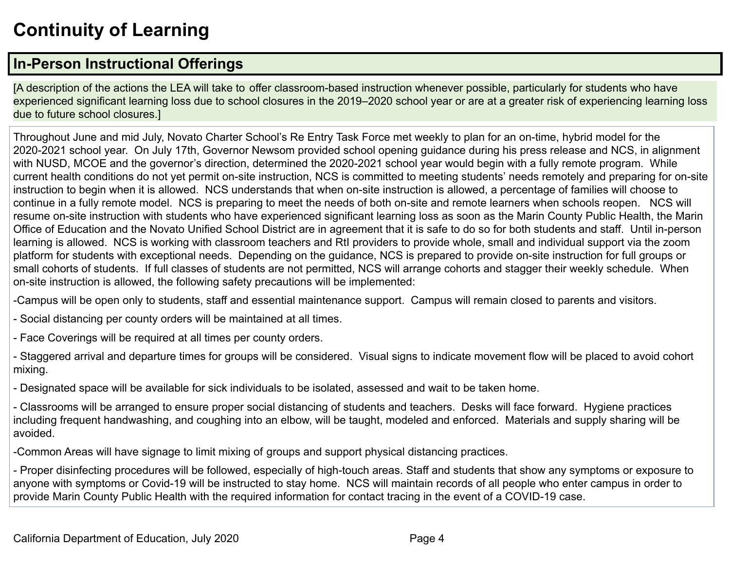# **Continuity of Learning**

# **In-Person Instructional Offerings**

[A description of the actions the LEA will take to offer classroom-based instruction whenever possible, particularly for students who have experienced significant learning loss due to school closures in the 2019–2020 school year or are at a greater risk of experiencing learning loss due to future school closures.]

Throughout June and mid July, Novato Charter School's Re Entry Task Force met weekly to plan for an on-time, hybrid model for the 2020-2021 school year. On July 17th, Governor Newsom provided school opening guidance during his press release and NCS, in alignment with NUSD, MCOE and the governor's direction, determined the 2020-2021 school year would begin with a fully remote program. While current health conditions do not yet permit on-site instruction, NCS is committed to meeting students' needs remotely and preparing for on-site instruction to begin when it is allowed. NCS understands that when on-site instruction is allowed, a percentage of families will choose to continue in a fully remote model. NCS is preparing to meet the needs of both on-site and remote learners when schools reopen. NCS will resume on-site instruction with students who have experienced significant learning loss as soon as the Marin County Public Health, the Marin Office of Education and the Novato Unified School District are in agreement that it is safe to do so for both students and staff. Until in-person learning is allowed. NCS is working with classroom teachers and RtI providers to provide whole, small and individual support via the zoom platform for students with exceptional needs. Depending on the guidance, NCS is prepared to provide on-site instruction for full groups or small cohorts of students. If full classes of students are not permitted, NCS will arrange cohorts and stagger their weekly schedule. When on-site instruction is allowed, the following safety precautions will be implemented:

-Campus will be open only to students, staff and essential maintenance support. Campus will remain closed to parents and visitors.

- Social distancing per county orders will be maintained at all times.

- Face Coverings will be required at all times per county orders.

- Staggered arrival and departure times for groups will be considered. Visual signs to indicate movement flow will be placed to avoid cohort mixing.

- Designated space will be available for sick individuals to be isolated, assessed and wait to be taken home.

- Classrooms will be arranged to ensure proper social distancing of students and teachers. Desks will face forward. Hygiene practices including frequent handwashing, and coughing into an elbow, will be taught, modeled and enforced. Materials and supply sharing will be avoided.

-Common Areas will have signage to limit mixing of groups and support physical distancing practices.

- Proper disinfecting procedures will be followed, especially of high-touch areas. Staff and students that show any symptoms or exposure to anyone with symptoms or Covid-19 will be instructed to stay home. NCS will maintain records of all people who enter campus in order to provide Marin County Public Health with the required information for contact tracing in the event of a COVID-19 case.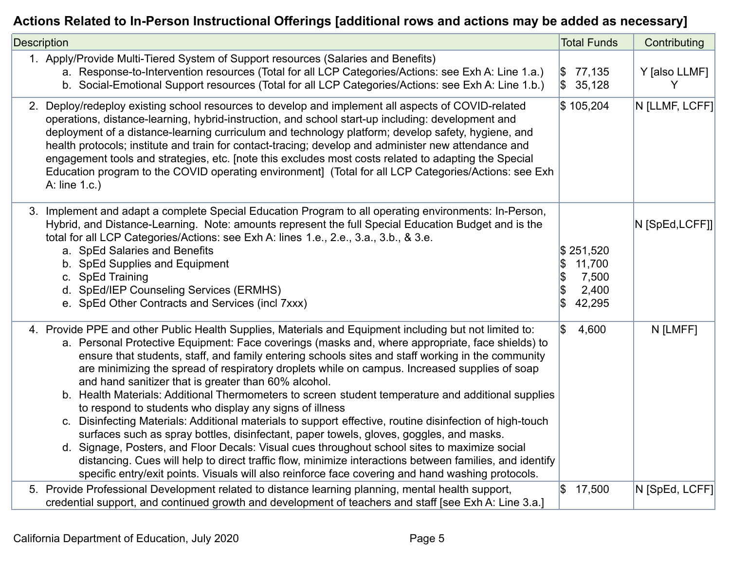## **Actions Related to In-Person Instructional Offerings [additional rows and actions may be added as necessary]**

| <b>Description</b>                                                                                                                                                                                                                                                                                                                                                                                                                                                                                                                                                                                                                                                                                                                                                                                                                                                                                                                                                                                                                                                                                                                                                       | <b>Total Funds</b>                              | Contributing       |
|--------------------------------------------------------------------------------------------------------------------------------------------------------------------------------------------------------------------------------------------------------------------------------------------------------------------------------------------------------------------------------------------------------------------------------------------------------------------------------------------------------------------------------------------------------------------------------------------------------------------------------------------------------------------------------------------------------------------------------------------------------------------------------------------------------------------------------------------------------------------------------------------------------------------------------------------------------------------------------------------------------------------------------------------------------------------------------------------------------------------------------------------------------------------------|-------------------------------------------------|--------------------|
| 1. Apply/Provide Multi-Tiered System of Support resources (Salaries and Benefits)<br>a. Response-to-Intervention resources (Total for all LCP Categories/Actions: see Exh A: Line 1.a.)<br>b. Social-Emotional Support resources (Total for all LCP Categories/Actions: see Exh A: Line 1.b.)                                                                                                                                                                                                                                                                                                                                                                                                                                                                                                                                                                                                                                                                                                                                                                                                                                                                            | $\frac{1}{2}$ 77,135<br>35,128                  | Y [also LLMF]<br>Y |
| 2. Deploy/redeploy existing school resources to develop and implement all aspects of COVID-related<br>operations, distance-learning, hybrid-instruction, and school start-up including: development and<br>deployment of a distance-learning curriculum and technology platform; develop safety, hygiene, and<br>health protocols; institute and train for contact-tracing; develop and administer new attendance and<br>engagement tools and strategies, etc. [note this excludes most costs related to adapting the Special<br>Education program to the COVID operating environment] (Total for all LCP Categories/Actions: see Exh<br>A: line 1.c.)                                                                                                                                                                                                                                                                                                                                                                                                                                                                                                                   | \$105,204                                       | N [LLMF, LCFF]     |
| 3. Implement and adapt a complete Special Education Program to all operating environments: In-Person,<br>Hybrid, and Distance-Learning. Note: amounts represent the full Special Education Budget and is the<br>total for all LCP Categories/Actions: see Exh A: lines 1.e., 2.e., 3.a., 3.b., & 3.e.<br>a. SpEd Salaries and Benefits<br>b. SpEd Supplies and Equipment<br>c. SpEd Training<br>d. SpEd/IEP Counseling Services (ERMHS)<br>e. SpEd Other Contracts and Services (incl 7xxx)                                                                                                                                                                                                                                                                                                                                                                                                                                                                                                                                                                                                                                                                              | \$251,520<br>11,700<br>7,500<br>2,400<br>42,295 | N [SpEd,LCFF]]     |
| 4. Provide PPE and other Public Health Supplies, Materials and Equipment including but not limited to:<br>Ι\$<br>a. Personal Protective Equipment: Face coverings (masks and, where appropriate, face shields) to<br>ensure that students, staff, and family entering schools sites and staff working in the community<br>are minimizing the spread of respiratory droplets while on campus. Increased supplies of soap<br>and hand sanitizer that is greater than 60% alcohol.<br>b. Health Materials: Additional Thermometers to screen student temperature and additional supplies<br>to respond to students who display any signs of illness<br>c. Disinfecting Materials: Additional materials to support effective, routine disinfection of high-touch<br>surfaces such as spray bottles, disinfectant, paper towels, gloves, goggles, and masks.<br>d. Signage, Posters, and Floor Decals: Visual cues throughout school sites to maximize social<br>distancing. Cues will help to direct traffic flow, minimize interactions between families, and identify<br>specific entry/exit points. Visuals will also reinforce face covering and hand washing protocols. | 4,600                                           | N [LMFF]           |
| 5. Provide Professional Development related to distance learning planning, mental health support,<br>credential support, and continued growth and development of teachers and staff [see Exh A: Line 3.a.]                                                                                                                                                                                                                                                                                                                                                                                                                                                                                                                                                                                                                                                                                                                                                                                                                                                                                                                                                               | $\frac{1}{9}$ 17,500                            | N [SpEd, LCFF]     |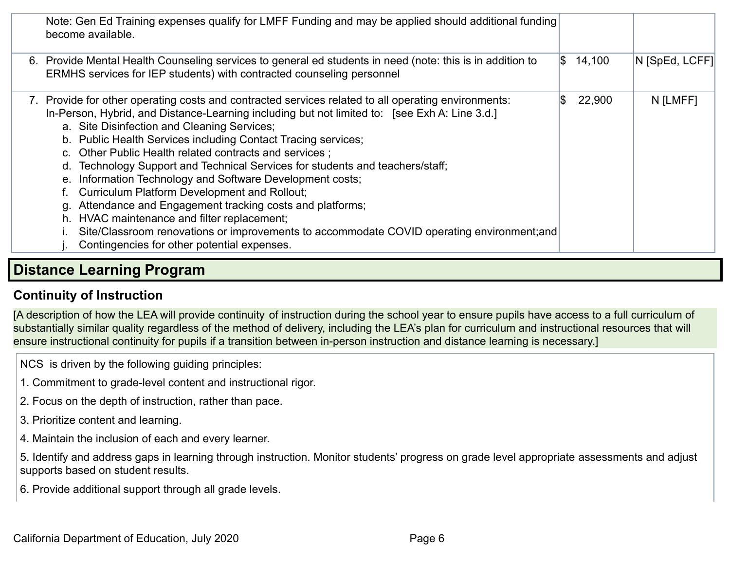| Note: Gen Ed Training expenses qualify for LMFF Funding and may be applied should additional funding<br>become available.                                                                                                                                                                                                                                                                                                                                                                                                                                                                                                                                                                                                                                                                                                                 |    |                      |                |
|-------------------------------------------------------------------------------------------------------------------------------------------------------------------------------------------------------------------------------------------------------------------------------------------------------------------------------------------------------------------------------------------------------------------------------------------------------------------------------------------------------------------------------------------------------------------------------------------------------------------------------------------------------------------------------------------------------------------------------------------------------------------------------------------------------------------------------------------|----|----------------------|----------------|
| 6. Provide Mental Health Counseling services to general ed students in need (note: this is in addition to<br>ERMHS services for IEP students) with contracted counseling personnel                                                                                                                                                                                                                                                                                                                                                                                                                                                                                                                                                                                                                                                        |    | $\frac{1}{3}$ 14,100 | N [SpEd, LCFF] |
| 7. Provide for other operating costs and contracted services related to all operating environments:<br>In-Person, Hybrid, and Distance-Learning including but not limited to: [see Exh A: Line 3.d.]<br>a. Site Disinfection and Cleaning Services;<br>b. Public Health Services including Contact Tracing services;<br>c. Other Public Health related contracts and services;<br>d. Technology Support and Technical Services for students and teachers/staff;<br>e. Information Technology and Software Development costs;<br>Curriculum Platform Development and Rollout;<br>Attendance and Engagement tracking costs and platforms;<br>α.<br>h. HVAC maintenance and filter replacement;<br>Site/Classroom renovations or improvements to accommodate COVID operating environment; and<br>Contingencies for other potential expenses. | ß. | 22,900               | N [LMFF]       |
|                                                                                                                                                                                                                                                                                                                                                                                                                                                                                                                                                                                                                                                                                                                                                                                                                                           |    |                      |                |

## **Distance Learning Program**

## **Continuity of Instruction**

[A description of how the LEA will provide continuity of instruction during the school year to ensure pupils have access to a full curriculum of substantially similar quality regardless of the method of delivery, including the LEA's plan for curriculum and instructional resources that will ensure instructional continuity for pupils if a transition between in-person instruction and distance learning is necessary.]

NCS is driven by the following guiding principles:

- 1. Commitment to grade-level content and instructional rigor.
- 2. Focus on the depth of instruction, rather than pace.
- 3. Prioritize content and learning.
- 4. Maintain the inclusion of each and every learner.

5. Identify and address gaps in learning through instruction. Monitor students' progress on grade level appropriate assessments and adjust supports based on student results.

6. Provide additional support through all grade levels.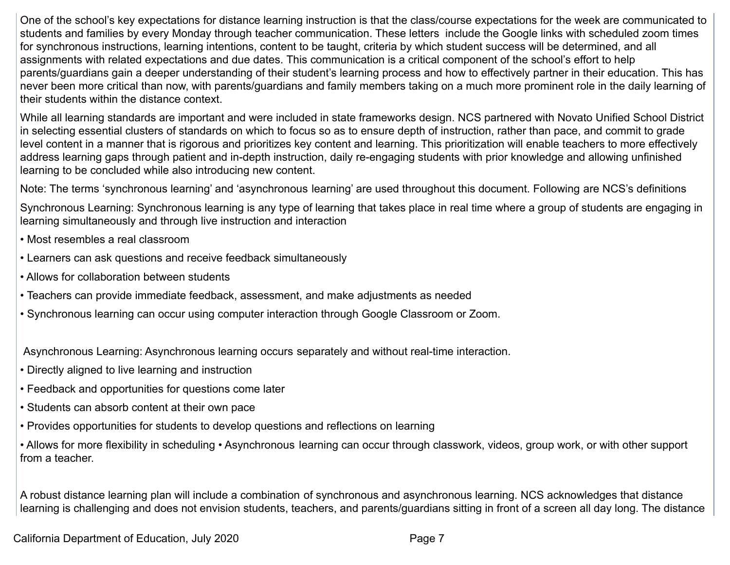One of the school's key expectations for distance learning instruction is that the class/course expectations for the week are communicated to students and families by every Monday through teacher communication. These letters include the Google links with scheduled zoom times for synchronous instructions, learning intentions, content to be taught, criteria by which student success will be determined, and all assignments with related expectations and due dates. This communication is a critical component of the school's effort to help parents/guardians gain a deeper understanding of their student's learning process and how to effectively partner in their education. This has never been more critical than now, with parents/guardians and family members taking on a much more prominent role in the daily learning of their students within the distance context.

While all learning standards are important and were included in state frameworks design. NCS partnered with Novato Unified School District in selecting essential clusters of standards on which to focus so as to ensure depth of instruction, rather than pace, and commit to grade level content in a manner that is rigorous and prioritizes key content and learning. This prioritization will enable teachers to more effectively address learning gaps through patient and in-depth instruction, daily re-engaging students with prior knowledge and allowing unfinished learning to be concluded while also introducing new content.

Note: The terms 'synchronous learning' and 'asynchronous learning' are used throughout this document. Following are NCS's definitions

Synchronous Learning: Synchronous learning is any type of learning that takes place in real time where a group of students are engaging in learning simultaneously and through live instruction and interaction

- Most resembles a real classroom
- Learners can ask questions and receive feedback simultaneously
- Allows for collaboration between students
- Teachers can provide immediate feedback, assessment, and make adjustments as needed
- Synchronous learning can occur using computer interaction through Google Classroom or Zoom.

Asynchronous Learning: Asynchronous learning occurs separately and without real-time interaction.

- Directly aligned to live learning and instruction
- Feedback and opportunities for questions come later
- Students can absorb content at their own pace
- Provides opportunities for students to develop questions and reflections on learning

• Allows for more flexibility in scheduling • Asynchronous learning can occur through classwork, videos, group work, or with other support from a teacher.

A robust distance learning plan will include a combination of synchronous and asynchronous learning. NCS acknowledges that distance learning is challenging and does not envision students, teachers, and parents/guardians sitting in front of a screen all day long. The distance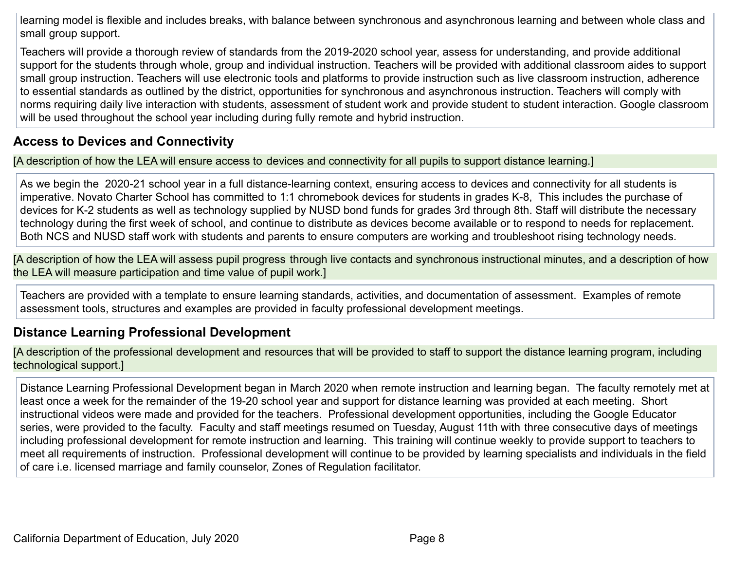learning model is flexible and includes breaks, with balance between synchronous and asynchronous learning and between whole class and small group support.

Teachers will provide a thorough review of standards from the 2019-2020 school year, assess for understanding, and provide additional support for the students through whole, group and individual instruction. Teachers will be provided with additional classroom aides to support small group instruction. Teachers will use electronic tools and platforms to provide instruction such as live classroom instruction, adherence to essential standards as outlined by the district, opportunities for synchronous and asynchronous instruction. Teachers will comply with norms requiring daily live interaction with students, assessment of student work and provide student to student interaction. Google classroom will be used throughout the school year including during fully remote and hybrid instruction.

## **Access to Devices and Connectivity**

[A description of how the LEA will ensure access to devices and connectivity for all pupils to support distance learning.]

As we begin the 2020-21 school year in a full distance-learning context, ensuring access to devices and connectivity for all students is imperative. Novato Charter School has committed to 1:1 chromebook devices for students in grades K-8, This includes the purchase of devices for K-2 students as well as technology supplied by NUSD bond funds for grades 3rd through 8th. Staff will distribute the necessary technology during the first week of school, and continue to distribute as devices become available or to respond to needs for replacement. Both NCS and NUSD staff work with students and parents to ensure computers are working and troubleshoot rising technology needs.

[A description of how the LEA will assess pupil progress through live contacts and synchronous instructional minutes, and a description of how the LEA will measure participation and time value of pupil work.]

Teachers are provided with a template to ensure learning standards, activities, and documentation of assessment. Examples of remote assessment tools, structures and examples are provided in faculty professional development meetings.

## **Distance Learning Professional Development**

[A description of the professional development and resources that will be provided to staff to support the distance learning program, including technological support.]

Distance Learning Professional Development began in March 2020 when remote instruction and learning began. The faculty remotely met at least once a week for the remainder of the 19-20 school year and support for distance learning was provided at each meeting. Short instructional videos were made and provided for the teachers. Professional development opportunities, including the Google Educator series, were provided to the faculty. Faculty and staff meetings resumed on Tuesday, August 11th with three consecutive days of meetings including professional development for remote instruction and learning. This training will continue weekly to provide support to teachers to meet all requirements of instruction. Professional development will continue to be provided by learning specialists and individuals in the field of care i.e. licensed marriage and family counselor, Zones of Regulation facilitator.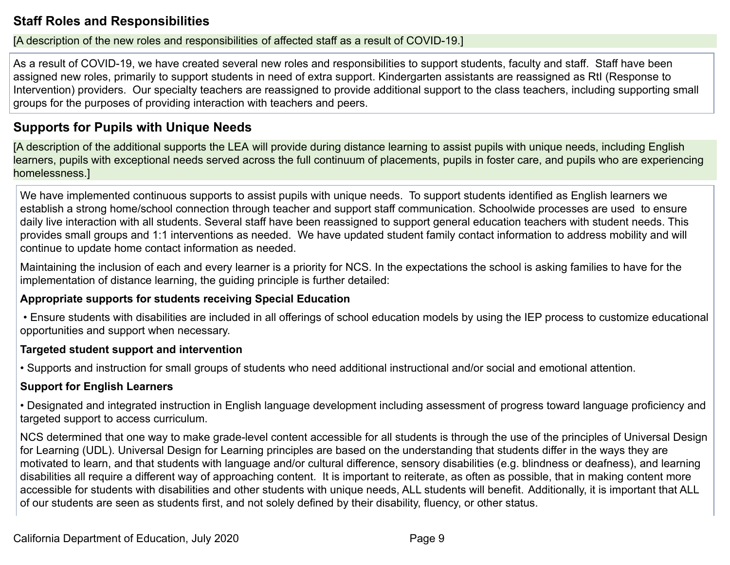### **Staff Roles and Responsibilities**

#### [A description of the new roles and responsibilities of affected staff as a result of COVID-19.]

As a result of COVID-19, we have created several new roles and responsibilities to support students, faculty and staff. Staff have been assigned new roles, primarily to support students in need of extra support. Kindergarten assistants are reassigned as RtI (Response to Intervention) providers. Our specialty teachers are reassigned to provide additional support to the class teachers, including supporting small groups for the purposes of providing interaction with teachers and peers.

### **Supports for Pupils with Unique Needs**

[A description of the additional supports the LEA will provide during distance learning to assist pupils with unique needs, including English learners, pupils with exceptional needs served across the full continuum of placements, pupils in foster care, and pupils who are experiencing homelessness.]

We have implemented continuous supports to assist pupils with unique needs. To support students identified as English learners we establish a strong home/school connection through teacher and support staff communication. Schoolwide processes are used to ensure daily live interaction with all students. Several staff have been reassigned to support general education teachers with student needs. This provides small groups and 1:1 interventions as needed. We have updated student family contact information to address mobility and will continue to update home contact information as needed.

Maintaining the inclusion of each and every learner is a priority for NCS. In the expectations the school is asking families to have for the implementation of distance learning, the guiding principle is further detailed:

#### **Appropriate supports for students receiving Special Education**

• Ensure students with disabilities are included in all offerings of school education models by using the IEP process to customize educational opportunities and support when necessary.

#### **Targeted student support and intervention**

• Supports and instruction for small groups of students who need additional instructional and/or social and emotional attention.

#### **Support for English Learners**

• Designated and integrated instruction in English language development including assessment of progress toward language proficiency and targeted support to access curriculum.

NCS determined that one way to make grade-level content accessible for all students is through the use of the principles of Universal Design for Learning (UDL). Universal Design for Learning principles are based on the understanding that students differ in the ways they are motivated to learn, and that students with language and/or cultural difference, sensory disabilities (e.g. blindness or deafness), and learning disabilities all require a different way of approaching content. It is important to reiterate, as often as possible, that in making content more accessible for students with disabilities and other students with unique needs, ALL students will benefit. Additionally, it is important that ALL of our students are seen as students first, and not solely defined by their disability, fluency, or other status.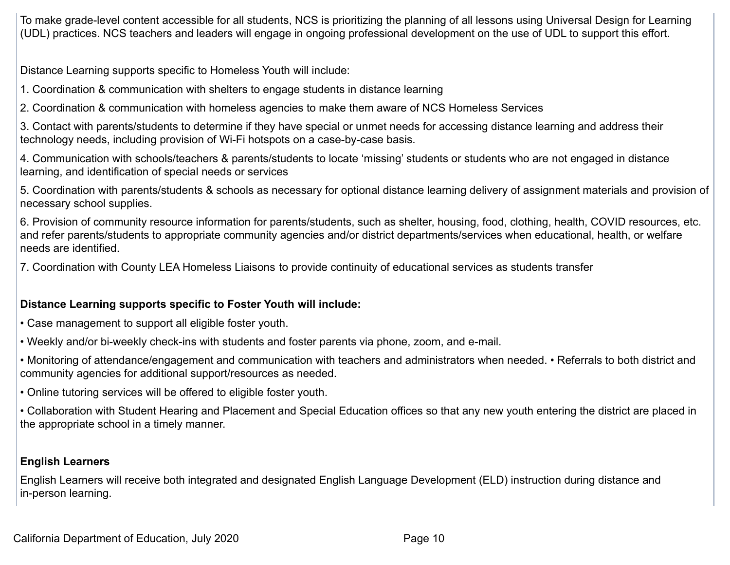To make grade-level content accessible for all students, NCS is prioritizing the planning of all lessons using Universal Design for Learning (UDL) practices. NCS teachers and leaders will engage in ongoing professional development on the use of UDL to support this effort.

Distance Learning supports specific to Homeless Youth will include:

1. Coordination & communication with shelters to engage students in distance learning

2. Coordination & communication with homeless agencies to make them aware of NCS Homeless Services

3. Contact with parents/students to determine if they have special or unmet needs for accessing distance learning and address their technology needs, including provision of Wi-Fi hotspots on a case-by-case basis.

4. Communication with schools/teachers & parents/students to locate 'missing' students or students who are not engaged in distance learning, and identification of special needs or services

5. Coordination with parents/students & schools as necessary for optional distance learning delivery of assignment materials and provision of necessary school supplies.

6. Provision of community resource information for parents/students, such as shelter, housing, food, clothing, health, COVID resources, etc. and refer parents/students to appropriate community agencies and/or district departments/services when educational, health, or welfare needs are identified.

7. Coordination with County LEA Homeless Liaisons to provide continuity of educational services as students transfer

#### **Distance Learning supports specific to Foster Youth will include:**

- Case management to support all eligible foster youth.
- Weekly and/or bi-weekly check-ins with students and foster parents via phone, zoom, and e-mail.
- Monitoring of attendance/engagement and communication with teachers and administrators when needed. Referrals to both district and community agencies for additional support/resources as needed.
- Online tutoring services will be offered to eligible foster youth.

• Collaboration with Student Hearing and Placement and Special Education offices so that any new youth entering the district are placed in the appropriate school in a timely manner.

#### **English Learners**

English Learners will receive both integrated and designated English Language Development (ELD) instruction during distance and in-person learning.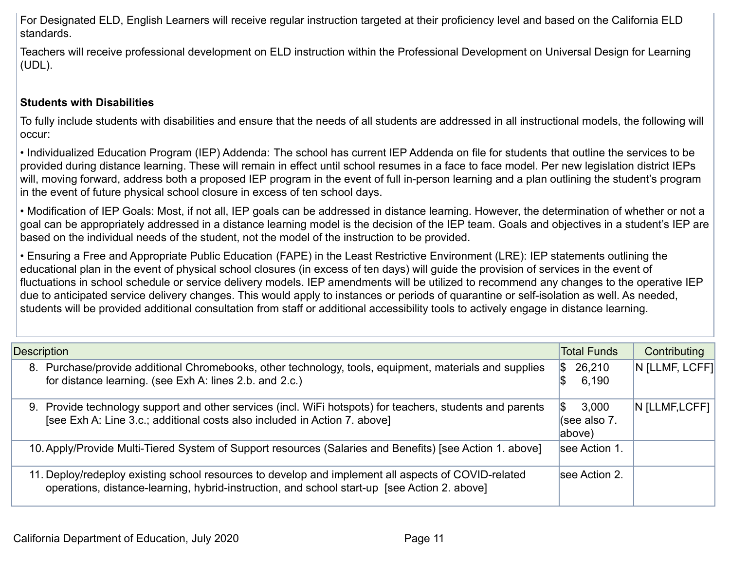For Designated ELD, English Learners will receive regular instruction targeted at their proficiency level and based on the California ELD standards.

Teachers will receive professional development on ELD instruction within the Professional Development on Universal Design for Learning (UDL).

#### **Students with Disabilities**

To fully include students with disabilities and ensure that the needs of all students are addressed in all instructional models, the following will occur:

• Individualized Education Program (IEP) Addenda: The school has current IEP Addenda on file for students that outline the services to be provided during distance learning. These will remain in effect until school resumes in a face to face model. Per new legislation district IEPs will, moving forward, address both a proposed IEP program in the event of full in-person learning and a plan outlining the student's program in the event of future physical school closure in excess of ten school days.

• Modification of IEP Goals: Most, if not all, IEP goals can be addressed in distance learning. However, the determination of whether or not a goal can be appropriately addressed in a distance learning model is the decision of the IEP team. Goals and objectives in a student's IEP are based on the individual needs of the student, not the model of the instruction to be provided.

• Ensuring a Free and Appropriate Public Education (FAPE) in the Least Restrictive Environment (LRE): IEP statements outlining the educational plan in the event of physical school closures (in excess of ten days) will guide the provision of services in the event of fluctuations in school schedule or service delivery models. IEP amendments will be utilized to recommend any changes to the operative IEP due to anticipated service delivery changes. This would apply to instances or periods of quarantine or self-isolation as well. As needed, students will be provided additional consultation from staff or additional accessibility tools to actively engage in distance learning.

| <b>Description</b>                                                                                                                                                                                  | <b>Total Funds</b>                    | Contributing   |
|-----------------------------------------------------------------------------------------------------------------------------------------------------------------------------------------------------|---------------------------------------|----------------|
| 8. Purchase/provide additional Chromebooks, other technology, tools, equipment, materials and supplies<br>for distance learning. (see Exh A: lines 2.b. and 2.c.)                                   | 26,210<br>1\$<br>6,190                | N [LLMF, LCFF] |
| 9. Provide technology support and other services (incl. WiFi hotspots) for teachers, students and parents<br>[see Exh A: Line 3.c.; additional costs also included in Action 7. above]              | 3,000<br>S.<br>(see also 7.<br>above) | N [LLMF, LCFF] |
| 10. Apply/Provide Multi-Tiered System of Support resources (Salaries and Benefits) [see Action 1. above]                                                                                            | see Action 1.                         |                |
| 11. Deploy/redeploy existing school resources to develop and implement all aspects of COVID-related<br>operations, distance-learning, hybrid-instruction, and school start-up [see Action 2. above] | see Action 2.                         |                |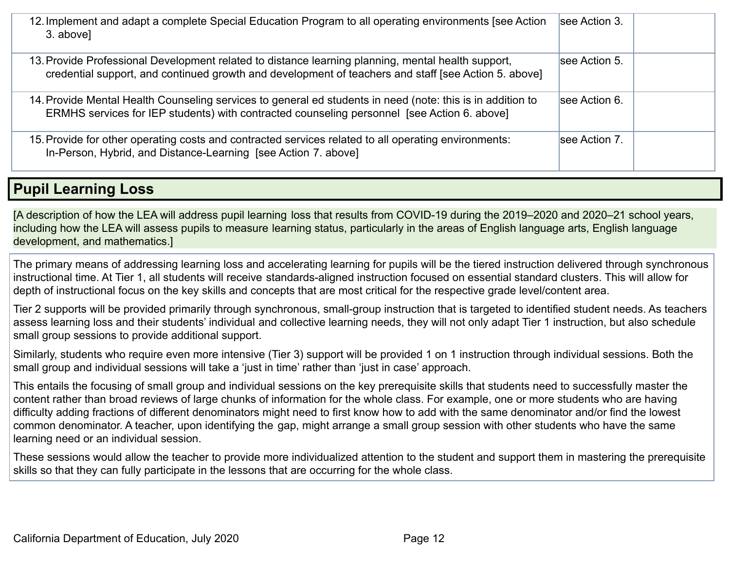| 12. Implement and adapt a complete Special Education Program to all operating environments [see Action<br>3. above]                                                                                        | see Action 3. |
|------------------------------------------------------------------------------------------------------------------------------------------------------------------------------------------------------------|---------------|
| 13. Provide Professional Development related to distance learning planning, mental health support,<br>credential support, and continued growth and development of teachers and staff [see Action 5. above] | see Action 5. |
| 14. Provide Mental Health Counseling services to general ed students in need (note: this is in addition to<br>ERMHS services for IEP students) with contracted counseling personnel [see Action 6. above]  | see Action 6. |
| 15. Provide for other operating costs and contracted services related to all operating environments:<br>In-Person, Hybrid, and Distance-Learning [see Action 7. above]                                     | see Action 7. |

## **Pupil Learning Loss**

[A description of how the LEA will address pupil learning loss that results from COVID-19 during the 2019–2020 and 2020–21 school years, including how the LEA will assess pupils to measure learning status, particularly in the areas of English language arts, English language development, and mathematics.]

The primary means of addressing learning loss and accelerating learning for pupils will be the tiered instruction delivered through synchronous instructional time. At Tier 1, all students will receive standards-aligned instruction focused on essential standard clusters. This will allow for depth of instructional focus on the key skills and concepts that are most critical for the respective grade level/content area.

Tier 2 supports will be provided primarily through synchronous, small-group instruction that is targeted to identified student needs. As teachers assess learning loss and their students' individual and collective learning needs, they will not only adapt Tier 1 instruction, but also schedule small group sessions to provide additional support.

Similarly, students who require even more intensive (Tier 3) support will be provided 1 on 1 instruction through individual sessions. Both the small group and individual sessions will take a 'just in time' rather than 'just in case' approach.

This entails the focusing of small group and individual sessions on the key prerequisite skills that students need to successfully master the content rather than broad reviews of large chunks of information for the whole class. For example, one or more students who are having difficulty adding fractions of different denominators might need to first know how to add with the same denominator and/or find the lowest common denominator. A teacher, upon identifying the gap, might arrange a small group session with other students who have the same learning need or an individual session.

These sessions would allow the teacher to provide more individualized attention to the student and support them in mastering the prerequisite skills so that they can fully participate in the lessons that are occurring for the whole class.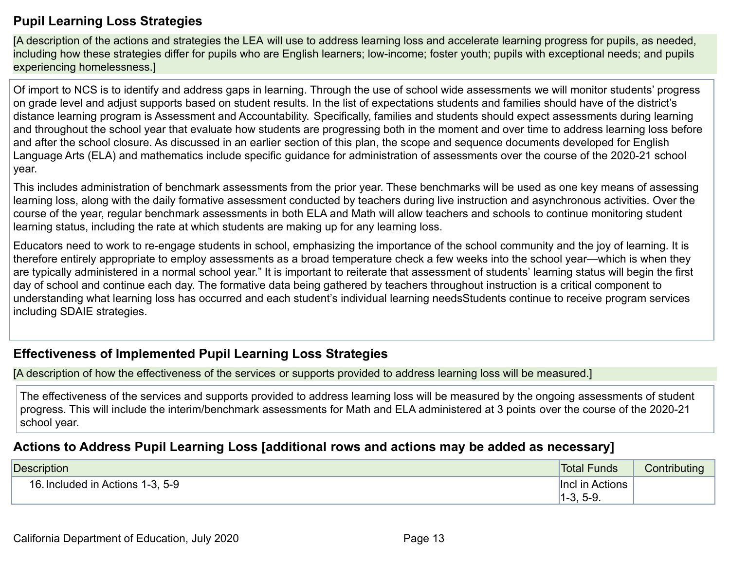### **Pupil Learning Loss Strategies**

[A description of the actions and strategies the LEA will use to address learning loss and accelerate learning progress for pupils, as needed, including how these strategies differ for pupils who are English learners; low-income; foster youth; pupils with exceptional needs; and pupils experiencing homelessness.]

Of import to NCS is to identify and address gaps in learning. Through the use of school wide assessments we will monitor students' progress on grade level and adjust supports based on student results. In the list of expectations students and families should have of the district's distance learning program is Assessment and Accountability. Specifically, families and students should expect assessments during learning and throughout the school year that evaluate how students are progressing both in the moment and over time to address learning loss before and after the school closure. As discussed in an earlier section of this plan, the scope and sequence documents developed for English Language Arts (ELA) and mathematics include specific guidance for administration of assessments over the course of the 2020-21 school year.

This includes administration of benchmark assessments from the prior year. These benchmarks will be used as one key means of assessing learning loss, along with the daily formative assessment conducted by teachers during live instruction and asynchronous activities. Over the course of the year, regular benchmark assessments in both ELA and Math will allow teachers and schools to continue monitoring student learning status, including the rate at which students are making up for any learning loss.

Educators need to work to re-engage students in school, emphasizing the importance of the school community and the joy of learning. It is therefore entirely appropriate to employ assessments as a broad temperature check a few weeks into the school year—which is when they are typically administered in a normal school year." It is important to reiterate that assessment of students' learning status will begin the first day of school and continue each day. The formative data being gathered by teachers throughout instruction is a critical component to understanding what learning loss has occurred and each student's individual learning needsStudents continue to receive program services including SDAIE strategies.

## **Effectiveness of Implemented Pupil Learning Loss Strategies**

[A description of how the effectiveness of the services or supports provided to address learning loss will be measured.]

The effectiveness of the services and supports provided to address learning loss will be measured by the ongoing assessments of student progress. This will include the interim/benchmark assessments for Math and ELA administered at 3 points over the course of the 2020-21 school year.

### **Actions to Address Pupil Learning Loss [additional rows and actions may be added as necessary]**

| <b>Description</b>                     | <b>Total Funds</b> | .<br>Contributing |
|----------------------------------------|--------------------|-------------------|
| 16.<br>3. Included in Actions 1-3, 5-9 | in Actions<br>linc |                   |
|                                        | $5-9$<br>…ن−∪      |                   |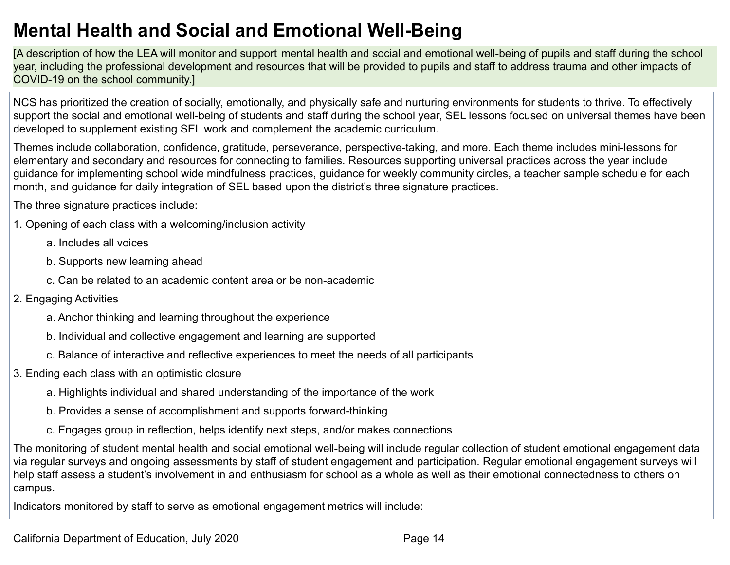# **Mental Health and Social and Emotional Well-Being**

[A description of how the LEA will monitor and support mental health and social and emotional well-being of pupils and staff during the school year, including the professional development and resources that will be provided to pupils and staff to address trauma and other impacts of COVID-19 on the school community.]

NCS has prioritized the creation of socially, emotionally, and physically safe and nurturing environments for students to thrive. To effectively support the social and emotional well-being of students and staff during the school year, SEL lessons focused on universal themes have been developed to supplement existing SEL work and complement the academic curriculum.

Themes include collaboration, confidence, gratitude, perseverance, perspective-taking, and more. Each theme includes mini-lessons for elementary and secondary and resources for connecting to families. Resources supporting universal practices across the year include guidance for implementing school wide mindfulness practices, guidance for weekly community circles, a teacher sample schedule for each month, and guidance for daily integration of SEL based upon the district's three signature practices.

The three signature practices include:

- 1. Opening of each class with a welcoming/inclusion activity
	- a. Includes all voices
	- b. Supports new learning ahead
	- c. Can be related to an academic content area or be non-academic
- 2. Engaging Activities
	- a. Anchor thinking and learning throughout the experience
	- b. Individual and collective engagement and learning are supported
	- c. Balance of interactive and reflective experiences to meet the needs of all participants
- 3. Ending each class with an optimistic closure
	- a. Highlights individual and shared understanding of the importance of the work
	- b. Provides a sense of accomplishment and supports forward-thinking
	- c. Engages group in reflection, helps identify next steps, and/or makes connections

The monitoring of student mental health and social emotional well-being will include regular collection of student emotional engagement data via regular surveys and ongoing assessments by staff of student engagement and participation. Regular emotional engagement surveys will help staff assess a student's involvement in and enthusiasm for school as a whole as well as their emotional connectedness to others on campus.

Indicators monitored by staff to serve as emotional engagement metrics will include: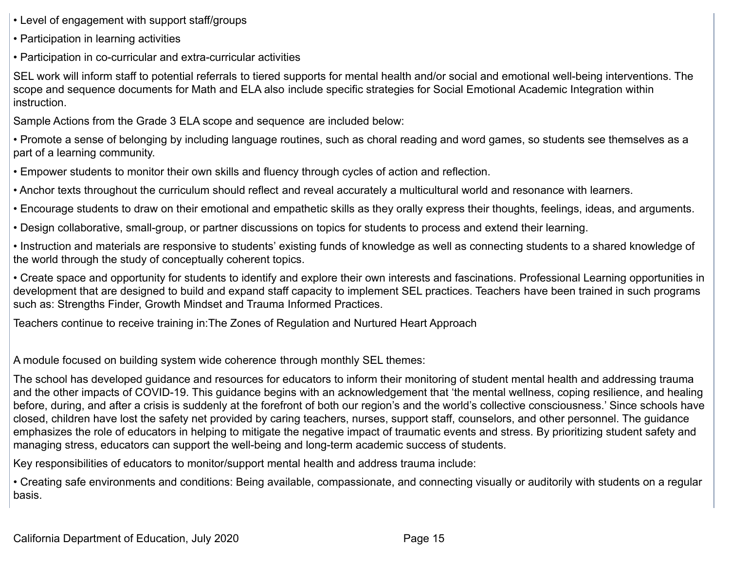- Level of engagement with support staff/groups
- Participation in learning activities

• Participation in co-curricular and extra-curricular activities

SEL work will inform staff to potential referrals to tiered supports for mental health and/or social and emotional well-being interventions. The scope and sequence documents for Math and ELA also include specific strategies for Social Emotional Academic Integration within instruction.

Sample Actions from the Grade 3 ELA scope and sequence are included below:

• Promote a sense of belonging by including language routines, such as choral reading and word games, so students see themselves as a part of a learning community.

• Empower students to monitor their own skills and fluency through cycles of action and reflection.

• Anchor texts throughout the curriculum should reflect and reveal accurately a multicultural world and resonance with learners.

• Encourage students to draw on their emotional and empathetic skills as they orally express their thoughts, feelings, ideas, and arguments.

• Design collaborative, small-group, or partner discussions on topics for students to process and extend their learning.

• Instruction and materials are responsive to students' existing funds of knowledge as well as connecting students to a shared knowledge of the world through the study of conceptually coherent topics.

• Create space and opportunity for students to identify and explore their own interests and fascinations. Professional Learning opportunities in development that are designed to build and expand staff capacity to implement SEL practices. Teachers have been trained in such programs such as: Strengths Finder, Growth Mindset and Trauma Informed Practices.

Teachers continue to receive training in:The Zones of Regulation and Nurtured Heart Approach

A module focused on building system wide coherence through monthly SEL themes:

The school has developed guidance and resources for educators to inform their monitoring of student mental health and addressing trauma and the other impacts of COVID-19. This guidance begins with an acknowledgement that 'the mental wellness, coping resilience, and healing before, during, and after a crisis is suddenly at the forefront of both our region's and the world's collective consciousness.' Since schools have closed, children have lost the safety net provided by caring teachers, nurses, support staff, counselors, and other personnel. The guidance emphasizes the role of educators in helping to mitigate the negative impact of traumatic events and stress. By prioritizing student safety and managing stress, educators can support the well-being and long-term academic success of students.

Key responsibilities of educators to monitor/support mental health and address trauma include:

• Creating safe environments and conditions: Being available, compassionate, and connecting visually or auditorily with students on a regular basis.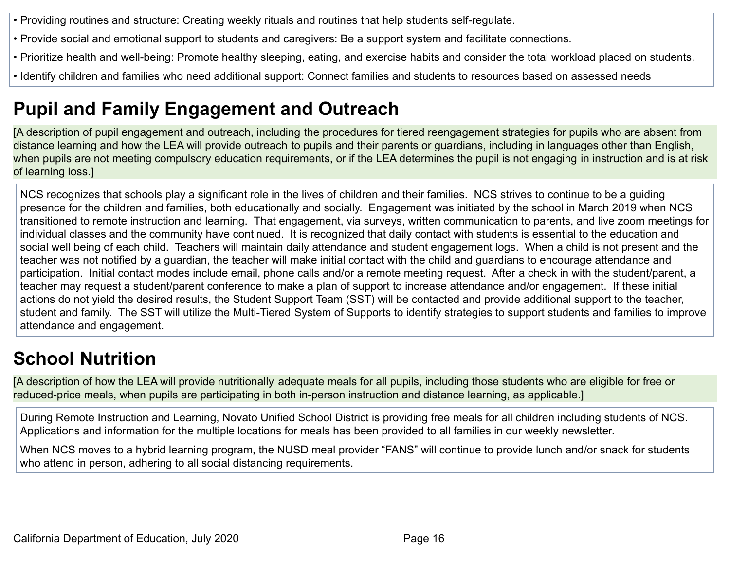- Providing routines and structure: Creating weekly rituals and routines that help students self-regulate.
- Provide social and emotional support to students and caregivers: Be a support system and facilitate connections.
- Prioritize health and well-being: Promote healthy sleeping, eating, and exercise habits and consider the total workload placed on students.
- Identify children and families who need additional support: Connect families and students to resources based on assessed needs

# **Pupil and Family Engagement and Outreach**

[A description of pupil engagement and outreach, including the procedures for tiered reengagement strategies for pupils who are absent from distance learning and how the LEA will provide outreach to pupils and their parents or guardians, including in languages other than English, when pupils are not meeting compulsory education requirements, or if the LEA determines the pupil is not engaging in instruction and is at risk of learning loss.]

NCS recognizes that schools play a significant role in the lives of children and their families. NCS strives to continue to be a guiding presence for the children and families, both educationally and socially. Engagement was initiated by the school in March 2019 when NCS transitioned to remote instruction and learning. That engagement, via surveys, written communication to parents, and live zoom meetings for individual classes and the community have continued. It is recognized that daily contact with students is essential to the education and social well being of each child. Teachers will maintain daily attendance and student engagement logs. When a child is not present and the teacher was not notified by a guardian, the teacher will make initial contact with the child and guardians to encourage attendance and participation. Initial contact modes include email, phone calls and/or a remote meeting request. After a check in with the student/parent, a teacher may request a student/parent conference to make a plan of support to increase attendance and/or engagement. If these initial actions do not yield the desired results, the Student Support Team (SST) will be contacted and provide additional support to the teacher, student and family. The SST will utilize the Multi-Tiered System of Supports to identify strategies to support students and families to improve attendance and engagement.

# **School Nutrition**

[A description of how the LEA will provide nutritionally adequate meals for all pupils, including those students who are eligible for free or reduced-price meals, when pupils are participating in both in-person instruction and distance learning, as applicable.]

During Remote Instruction and Learning, Novato Unified School District is providing free meals for all children including students of NCS. Applications and information for the multiple locations for meals has been provided to all families in our weekly newsletter.

When NCS moves to a hybrid learning program, the NUSD meal provider "FANS" will continue to provide lunch and/or snack for students who attend in person, adhering to all social distancing requirements.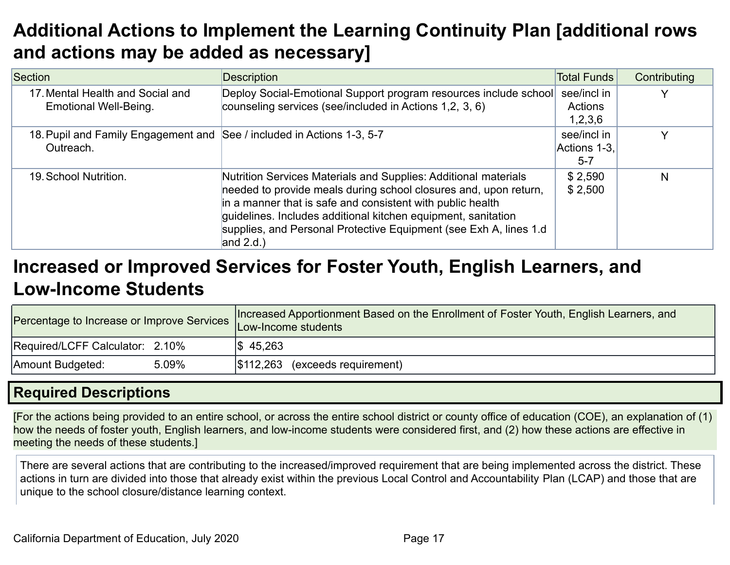# **Additional Actions to Implement the Learning Continuity Plan [additional rows and actions may be added as necessary]**

| Section                                                   | Description                                                                                                                                                                                                                                                                                                                                              | <b>Total Funds</b> | Contributing |  |  |  |
|-----------------------------------------------------------|----------------------------------------------------------------------------------------------------------------------------------------------------------------------------------------------------------------------------------------------------------------------------------------------------------------------------------------------------------|--------------------|--------------|--|--|--|
| 17. Mental Health and Social and<br>Emotional Well-Being. | Deploy Social-Emotional Support program resources include school<br>counseling services (see/included in Actions 1,2, 3, 6)                                                                                                                                                                                                                              |                    |              |  |  |  |
| Outreach.                                                 | 18. Pupil and Family Engagement and See / included in Actions 1-3, 5-7                                                                                                                                                                                                                                                                                   |                    |              |  |  |  |
| 19. School Nutrition.                                     | Nutrition Services Materials and Supplies: Additional materials<br>needed to provide meals during school closures and, upon return,<br>in a manner that is safe and consistent with public health<br>quidelines. Includes additional kitchen equipment, sanitation<br>supplies, and Personal Protective Equipment (see Exh A, lines 1.d)<br>and $2.d.$ ) | \$2,590<br>\$2,500 | N            |  |  |  |

# **Increased or Improved Services for Foster Youth, English Learners, and Low-Income Students**

| Percentage to Increase or Improve Services Low-Income students | Increased Apportionment Based on the Enrollment of Foster Youth, English Learners, and |  |  |  |  |  |  |
|----------------------------------------------------------------|----------------------------------------------------------------------------------------|--|--|--|--|--|--|
| Required/LCFF Calculator: 2.10%                                | $\frac{1}{2}$ 45,263                                                                   |  |  |  |  |  |  |
| 5.09%<br>Amount Budgeted:                                      | \$112,263<br>(exceeds requirement)                                                     |  |  |  |  |  |  |

## **Required Descriptions**

[For the actions being provided to an entire school, or across the entire school district or county office of education (COE), an explanation of (1) how the needs of foster youth, English learners, and low-income students were considered first, and (2) how these actions are effective in meeting the needs of these students.]

There are several actions that are contributing to the increased/improved requirement that are being implemented across the district. These actions in turn are divided into those that already exist within the previous Local Control and Accountability Plan (LCAP) and those that are unique to the school closure/distance learning context.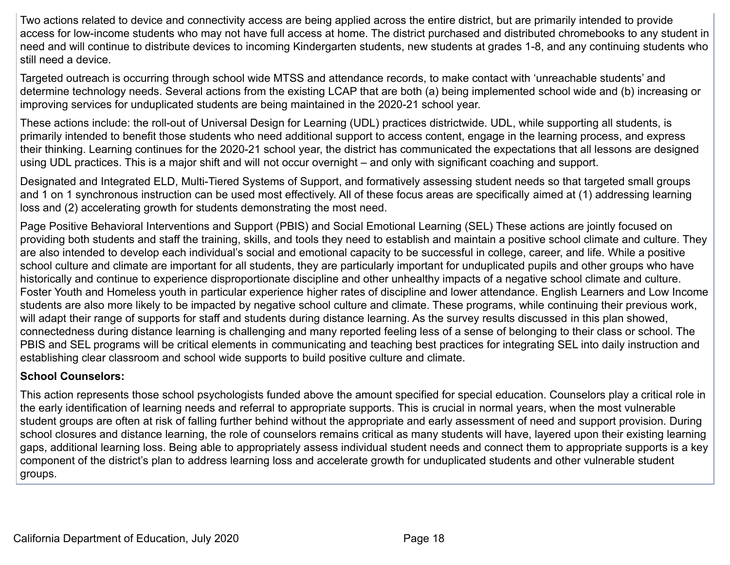Two actions related to device and connectivity access are being applied across the entire district, but are primarily intended to provide access for low-income students who may not have full access at home. The district purchased and distributed chromebooks to any student in need and will continue to distribute devices to incoming Kindergarten students, new students at grades 1-8, and any continuing students who still need a device.

Targeted outreach is occurring through school wide MTSS and attendance records, to make contact with 'unreachable students' and determine technology needs. Several actions from the existing LCAP that are both (a) being implemented school wide and (b) increasing or improving services for unduplicated students are being maintained in the 2020-21 school year.

These actions include: the roll-out of Universal Design for Learning (UDL) practices districtwide. UDL, while supporting all students, is primarily intended to benefit those students who need additional support to access content, engage in the learning process, and express their thinking. Learning continues for the 2020-21 school year, the district has communicated the expectations that all lessons are designed using UDL practices. This is a major shift and will not occur overnight – and only with significant coaching and support.

Designated and Integrated ELD, Multi-Tiered Systems of Support, and formatively assessing student needs so that targeted small groups and 1 on 1 synchronous instruction can be used most effectively. All of these focus areas are specifically aimed at (1) addressing learning loss and (2) accelerating growth for students demonstrating the most need.

Page Positive Behavioral Interventions and Support (PBIS) and Social Emotional Learning (SEL) These actions are jointly focused on providing both students and staff the training, skills, and tools they need to establish and maintain a positive school climate and culture. They are also intended to develop each individual's social and emotional capacity to be successful in college, career, and life. While a positive school culture and climate are important for all students, they are particularly important for unduplicated pupils and other groups who have historically and continue to experience disproportionate discipline and other unhealthy impacts of a negative school climate and culture. Foster Youth and Homeless youth in particular experience higher rates of discipline and lower attendance. English Learners and Low Income students are also more likely to be impacted by negative school culture and climate. These programs, while continuing their previous work, will adapt their range of supports for staff and students during distance learning. As the survey results discussed in this plan showed, connectedness during distance learning is challenging and many reported feeling less of a sense of belonging to their class or school. The PBIS and SEL programs will be critical elements in communicating and teaching best practices for integrating SEL into daily instruction and establishing clear classroom and school wide supports to build positive culture and climate.

#### **School Counselors:**

This action represents those school psychologists funded above the amount specified for special education. Counselors play a critical role in the early identification of learning needs and referral to appropriate supports. This is crucial in normal years, when the most vulnerable student groups are often at risk of falling further behind without the appropriate and early assessment of need and support provision. During school closures and distance learning, the role of counselors remains critical as many students will have, layered upon their existing learning gaps, additional learning loss. Being able to appropriately assess individual student needs and connect them to appropriate supports is a key component of the district's plan to address learning loss and accelerate growth for unduplicated students and other vulnerable student groups.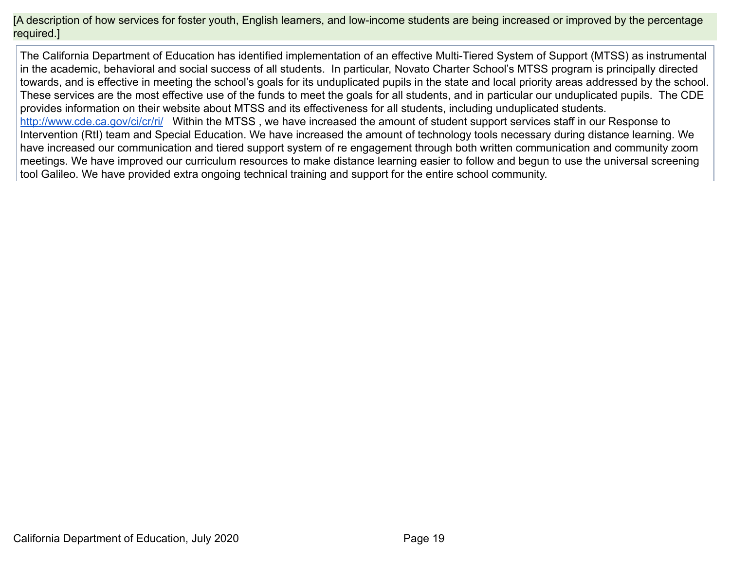[A description of how services for foster youth, English learners, and low-income students are being increased or improved by the percentage required.]

The California Department of Education has identified implementation of an effective Multi-Tiered System of Support (MTSS) as instrumental in the academic, behavioral and social success of all students. In particular, Novato Charter School's MTSS program is principally directed towards, and is effective in meeting the school's goals for its unduplicated pupils in the state and local priority areas addressed by the school. These services are the most effective use of the funds to meet the goals for all students, and in particular our unduplicated pupils. The CDE provides information on their website about MTSS and its effectiveness for all students, including unduplicated students. <http://www.cde.ca.gov/ci/cr/ri/> Within the MTSS, we have increased the amount of student support services staff in our Response to Intervention (RtI) team and Special Education. We have increased the amount of technology tools necessary during distance learning. We have increased our communication and tiered support system of re engagement through both written communication and community zoom meetings. We have improved our curriculum resources to make distance learning easier to follow and begun to use the universal screening

tool Galileo. We have provided extra ongoing technical training and support for the entire school community.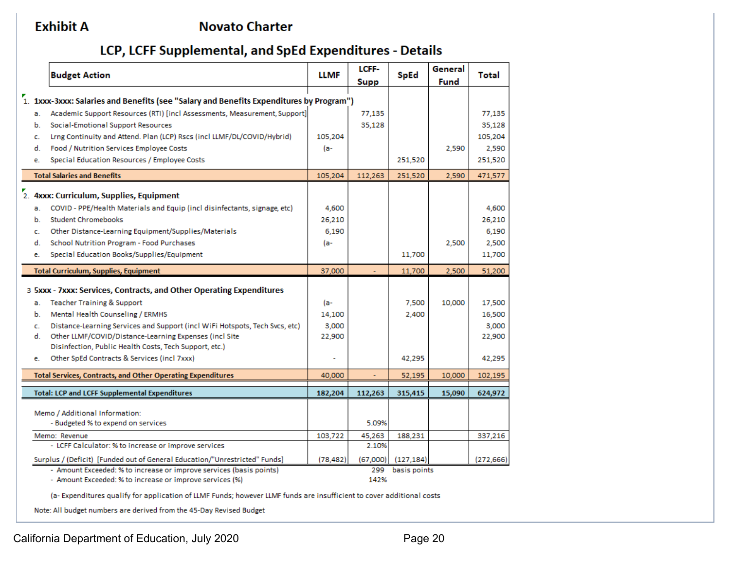### **Exhibit A**

### **Novato Charter**

## LCP, LCFF Supplemental, and SpEd Expenditures - Details

|    | <b>Budget Action</b>                                                                                  | <b>LLMF</b> | LCFF-<br><b>Supp</b> | <b>SpEd</b>  | General<br>Fund | Total     |
|----|-------------------------------------------------------------------------------------------------------|-------------|----------------------|--------------|-----------------|-----------|
|    | 1. 1xxx-3xxx: Salaries and Benefits (see "Salary and Benefits Expenditures by Program")               |             |                      |              |                 |           |
|    | Academic Support Resources (RTI) [incl Assessments, Measurement, Support]                             |             |                      |              |                 |           |
| a. | Social-Emotional Support Resources                                                                    |             | 77,135<br>35,128     |              |                 | 77,135    |
| b. |                                                                                                       |             |                      |              |                 | 35,128    |
| c. | Lrng Continuity and Attend. Plan (LCP) Rscs (incl LLMF/DL/COVID/Hybrid)                               | 105,204     |                      |              |                 | 105,204   |
| d. | Food / Nutrition Services Employee Costs                                                              | (a-         |                      |              | 2,590           | 2,590     |
| e. | Special Education Resources / Employee Costs                                                          |             |                      | 251,520      |                 | 251,520   |
|    | <b>Total Salaries and Benefits</b>                                                                    | 105,204     | 112.263              | 251.520      | 2.590           | 471.577   |
|    |                                                                                                       |             |                      |              |                 |           |
|    | 2. 4xxx: Curriculum, Supplies, Equipment                                                              |             |                      |              |                 |           |
| a. | COVID - PPE/Health Materials and Equip (incl disinfectants, signage, etc)                             | 4,600       |                      |              |                 | 4,600     |
| b. | <b>Student Chromebooks</b>                                                                            | 26,210      |                      |              |                 | 26,210    |
| c. | Other Distance-Learning Equipment/Supplies/Materials                                                  | 6,190       |                      |              |                 | 6,190     |
| d. | School Nutrition Program - Food Purchases                                                             | (a-         |                      |              | 2,500           | 2,500     |
| e. | Special Education Books/Supplies/Equipment                                                            |             |                      | 11,700       |                 | 11,700    |
|    | <b>Total Curriculum, Supplies, Equipment</b>                                                          | 37,000      |                      | 11,700       | 2,500           | 51,200    |
|    |                                                                                                       |             |                      |              |                 |           |
|    | 3 5xxx - 7xxx: Services, Contracts, and Other Operating Expenditures                                  |             |                      |              |                 |           |
| a. | <b>Teacher Training &amp; Support</b>                                                                 | (a-         |                      | 7,500        | 10,000          | 17,500    |
| b. | Mental Health Counseling / ERMHS                                                                      | 14,100      |                      | 2,400        |                 | 16,500    |
| c. | Distance-Learning Services and Support (incl WiFi Hotspots, Tech Svcs, etc)                           | 3,000       |                      |              |                 | 3,000     |
| d. | Other LLMF/COVID/Distance-Learning Expenses (incl Site                                                | 22,900      |                      |              |                 | 22,900    |
|    | Disinfection, Public Health Costs, Tech Support, etc.)<br>Other SpEd Contracts & Services (incl 7xxx) |             |                      | 42,295       |                 | 42,295    |
| e. |                                                                                                       |             |                      |              |                 |           |
|    | <b>Total Services, Contracts, and Other Operating Expenditures</b>                                    | 40,000      | $\blacksquare$       | 52,195       | 10,000          | 102,195   |
|    | <b>Total: LCP and LCFF Supplemental Expenditures</b>                                                  | 182,204     | 112,263              | 315,415      | 15,090          | 624,972   |
|    |                                                                                                       |             |                      |              |                 |           |
|    | Memo / Additional Information:                                                                        |             |                      |              |                 |           |
|    | - Budgeted % to expend on services                                                                    |             | 5.09%                |              |                 |           |
|    | Memo: Revenue                                                                                         | 103,722     | 45,263               | 188,231      |                 | 337,216   |
|    | - LCFF Calculator: % to increase or improve services                                                  |             | 2.10%                |              |                 |           |
|    | Surplus / (Deficit) [Funded out of General Education/"Unrestricted" Funds]                            | (78, 482)   | (67,000)             | (127, 184)   |                 | (272.666) |
|    | - Amount Exceeded: % to increase or improve services (basis points)                                   |             | 299                  | basis points |                 |           |
|    | - Amount Exceeded: % to increase or improve services (%)                                              |             | 142%                 |              |                 |           |

(a-Expenditures qualify for application of LLMF Funds; however LLMF funds are insufficient to cover additional costs

Note: All budget numbers are derived from the 45-Day Revised Budget